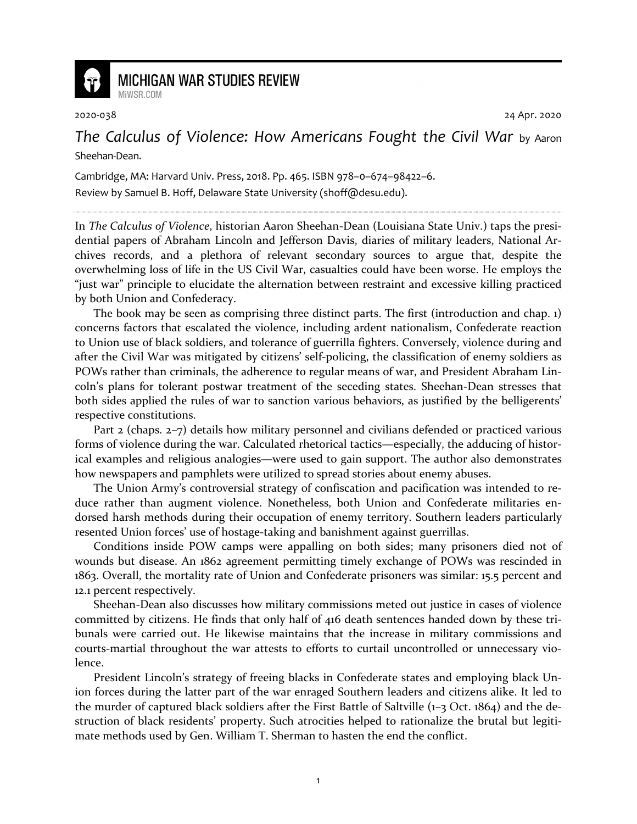

## **MICHIGAN WAR STUDIES REVIEW** MiWSR.COM

2020-038 24 Apr. 2020

*The Calculus of Violence: How Americans Fought the Civil War* by Aaron Sheehan-Dean.

Cambridge, MA: Harvard Univ. Press, 2018. Pp. 465. ISBN 978–0–674–98422–6.

Review by Samuel B. Hoff, Delaware State University (shoff@desu.edu).

In *The Calculus of Violence*, historian Aaron Sheehan-Dean (Louisiana State Univ.) taps the presidential papers of Abraham Lincoln and Jefferson Davis, diaries of military leaders, National Archives records, and a plethora of relevant secondary sources to argue that, despite the overwhelming loss of life in the US Civil War, casualties could have been worse. He employs the "just war" principle to elucidate the alternation between restraint and excessive killing practiced by both Union and Confederacy.

The book may be seen as comprising three distinct parts. The first (introduction and chap. 1) concerns factors that escalated the violence, including ardent nationalism, Confederate reaction to Union use of black soldiers, and tolerance of guerrilla fighters. Conversely, violence during and after the Civil War was mitigated by citizens' self-policing, the classification of enemy soldiers as POWs rather than criminals, the adherence to regular means of war, and President Abraham Lincoln's plans for tolerant postwar treatment of the seceding states. Sheehan-Dean stresses that both sides applied the rules of war to sanction various behaviors, as justified by the belligerents' respective constitutions.

Part 2 (chaps. 2–7) details how military personnel and civilians defended or practiced various forms of violence during the war. Calculated rhetorical tactics—especially, the adducing of historical examples and religious analogies—were used to gain support. The author also demonstrates how newspapers and pamphlets were utilized to spread stories about enemy abuses.

The Union Army's controversial strategy of confiscation and pacification was intended to reduce rather than augment violence. Nonetheless, both Union and Confederate militaries endorsed harsh methods during their occupation of enemy territory. Southern leaders particularly resented Union forces' use of hostage-taking and banishment against guerrillas.

Conditions inside POW camps were appalling on both sides; many prisoners died not of wounds but disease. An 1862 agreement permitting timely exchange of POWs was rescinded in 1863. Overall, the mortality rate of Union and Confederate prisoners was similar: 15.5 percent and 12.1 percent respectively.

Sheehan-Dean also discusses how military commissions meted out justice in cases of violence committed by citizens. He finds that only half of 416 death sentences handed down by these tribunals were carried out. He likewise maintains that the increase in military commissions and courts-martial throughout the war attests to efforts to curtail uncontrolled or unnecessary violence.

President Lincoln's strategy of freeing blacks in Confederate states and employing black Union forces during the latter part of the war enraged Southern leaders and citizens alike. It led to the murder of captured black soldiers after the First Battle of Saltville  $(1-3 \text{ Oct. } 1864)$  and the destruction of black residents' property. Such atrocities helped to rationalize the brutal but legitimate methods used by Gen. William T. Sherman to hasten the end the conflict.